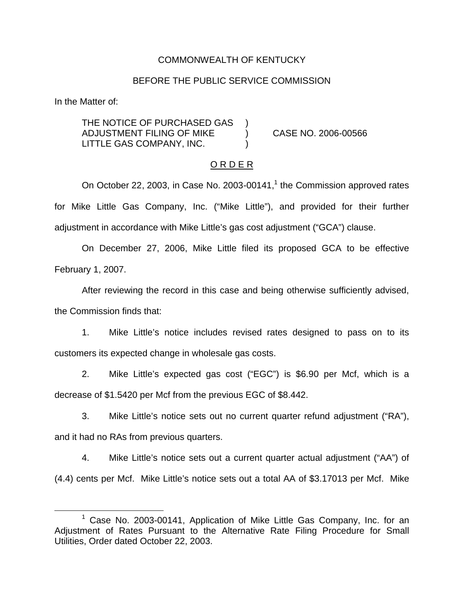### COMMONWEALTH OF KENTUCKY

#### BEFORE THE PUBLIC SERVICE COMMISSION

In the Matter of:

THE NOTICE OF PURCHASED GAS ADJUSTMENT FILING OF MIKE ) CASE NO. 2006-00566 LITTLE GAS COMPANY, INC.

### O R D E R

On October 22, 2003, in Case No. 2003-00141, $<sup>1</sup>$  the Commission approved rates</sup> for Mike Little Gas Company, Inc. ("Mike Little"), and provided for their further adjustment in accordance with Mike Little's gas cost adjustment ("GCA") clause.

On December 27, 2006, Mike Little filed its proposed GCA to be effective February 1, 2007.

After reviewing the record in this case and being otherwise sufficiently advised, the Commission finds that:

1. Mike Little's notice includes revised rates designed to pass on to its customers its expected change in wholesale gas costs.

2. Mike Little's expected gas cost ("EGC") is \$6.90 per Mcf, which is a decrease of \$1.5420 per Mcf from the previous EGC of \$8.442.

3. Mike Little's notice sets out no current quarter refund adjustment ("RA"), and it had no RAs from previous quarters.

4. Mike Little's notice sets out a current quarter actual adjustment ("AA") of (4.4) cents per Mcf. Mike Little's notice sets out a total AA of \$3.17013 per Mcf. Mike

<sup>&</sup>lt;sup>1</sup> Case No. 2003-00141, Application of Mike Little Gas Company, Inc. for an Adjustment of Rates Pursuant to the Alternative Rate Filing Procedure for Small Utilities, Order dated October 22, 2003.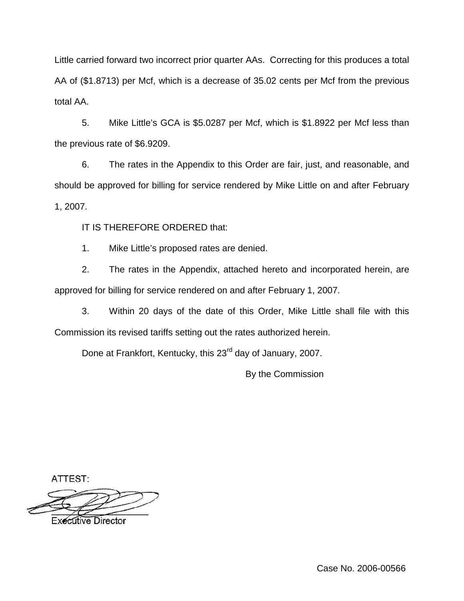Little carried forward two incorrect prior quarter AAs. Correcting for this produces a total AA of (\$1.8713) per Mcf, which is a decrease of 35.02 cents per Mcf from the previous total AA.

5. Mike Little's GCA is \$5.0287 per Mcf, which is \$1.8922 per Mcf less than the previous rate of \$6.9209.

6. The rates in the Appendix to this Order are fair, just, and reasonable, and should be approved for billing for service rendered by Mike Little on and after February 1, 2007.

IT IS THEREFORE ORDERED that:

1. Mike Little's proposed rates are denied.

2. The rates in the Appendix, attached hereto and incorporated herein, are approved for billing for service rendered on and after February 1, 2007.

3. Within 20 days of the date of this Order, Mike Little shall file with this Commission its revised tariffs setting out the rates authorized herein.

Done at Frankfort, Kentucky, this 23<sup>rd</sup> day of January, 2007.

By the Commission

ATTEST:

**Executive Director**